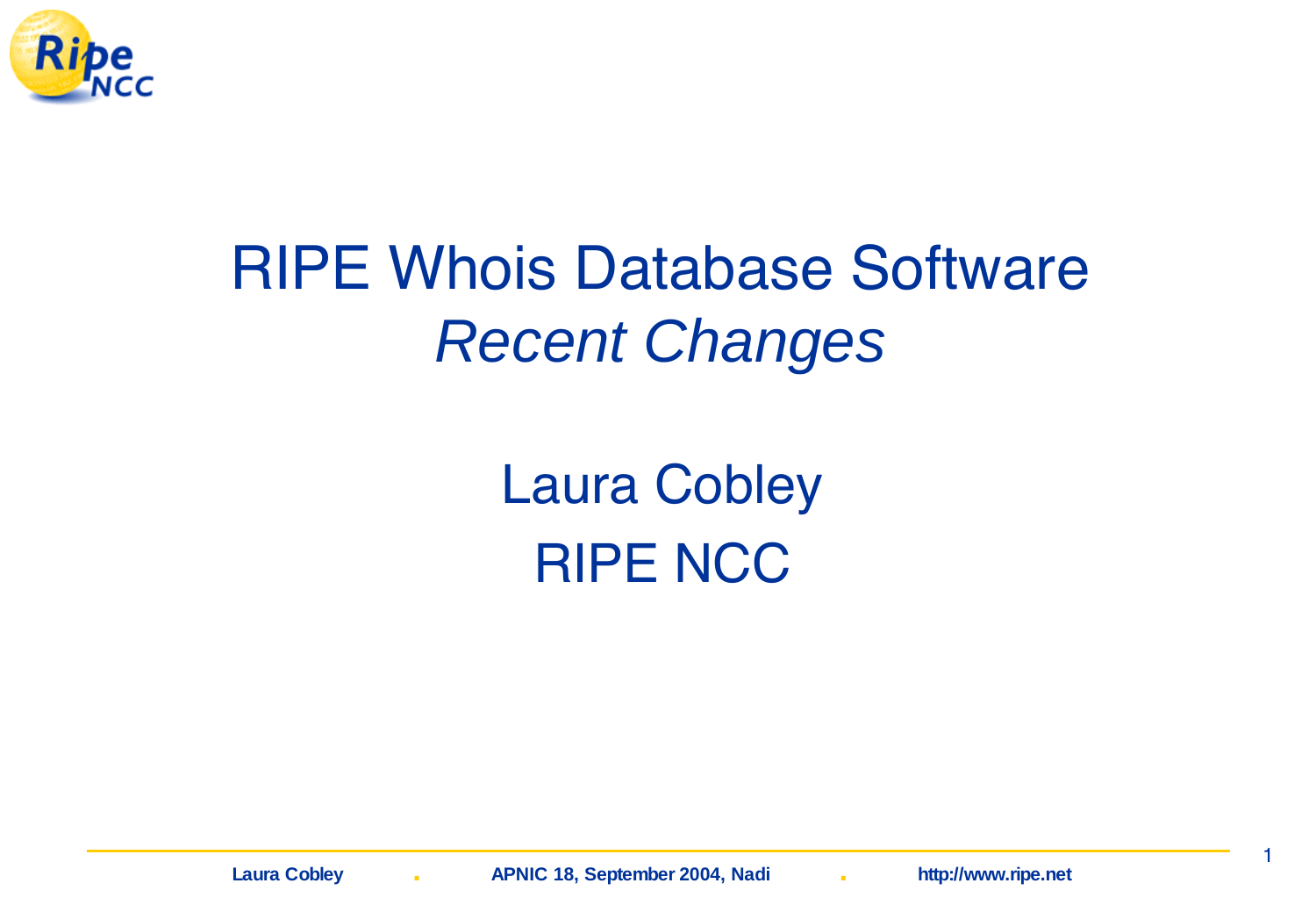

### RIPE Whois Database Software Recent Changes

Laura Cobley RIPE NCC

1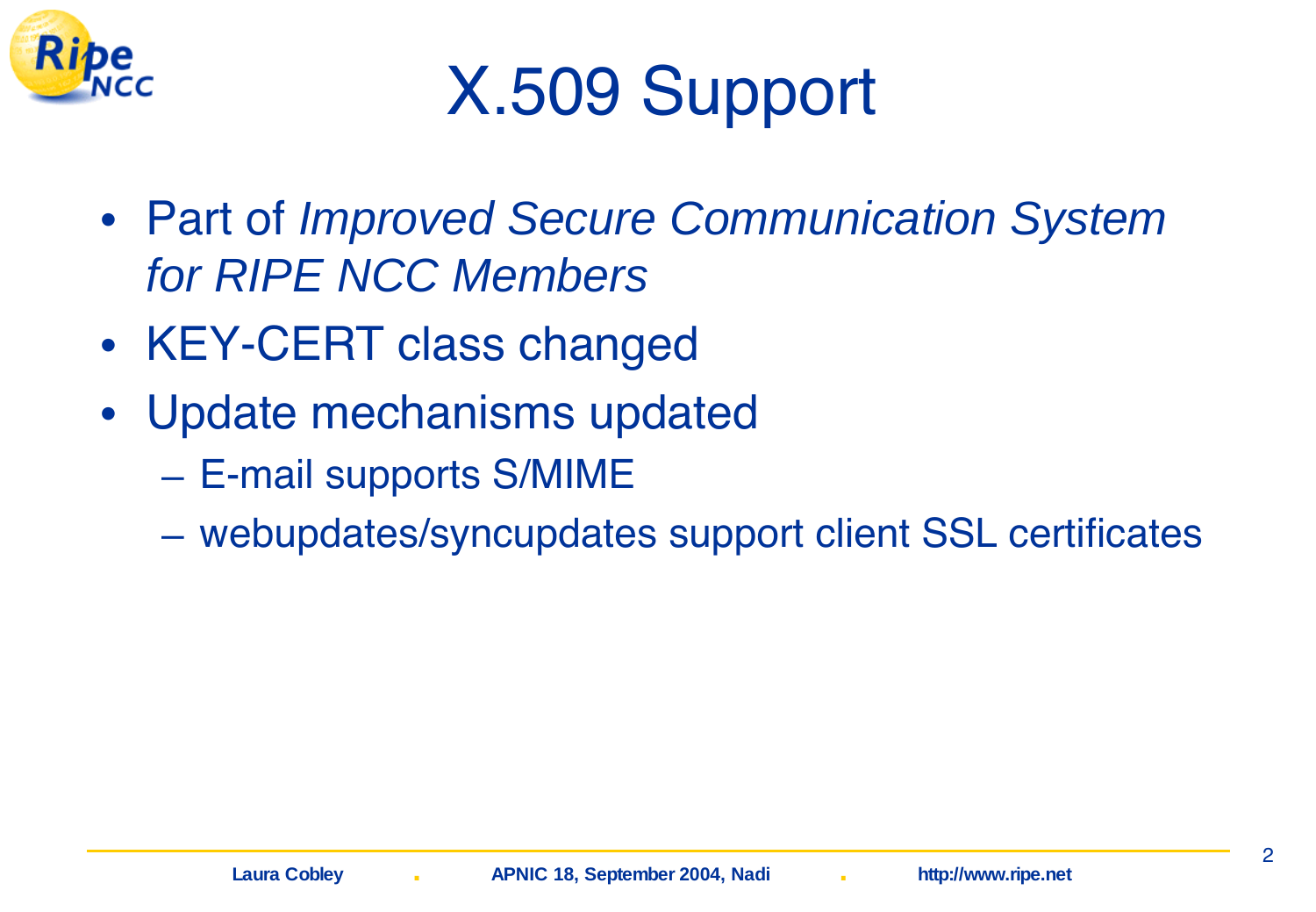

### X.509 Support

- Part of Improved Secure Communication System for RIPE NCC Members
- KEY-CERT class changed
- Update mechanisms updated
	- E-mail supports S/MIME
	- webupdates/syncupdates support client SSL certificates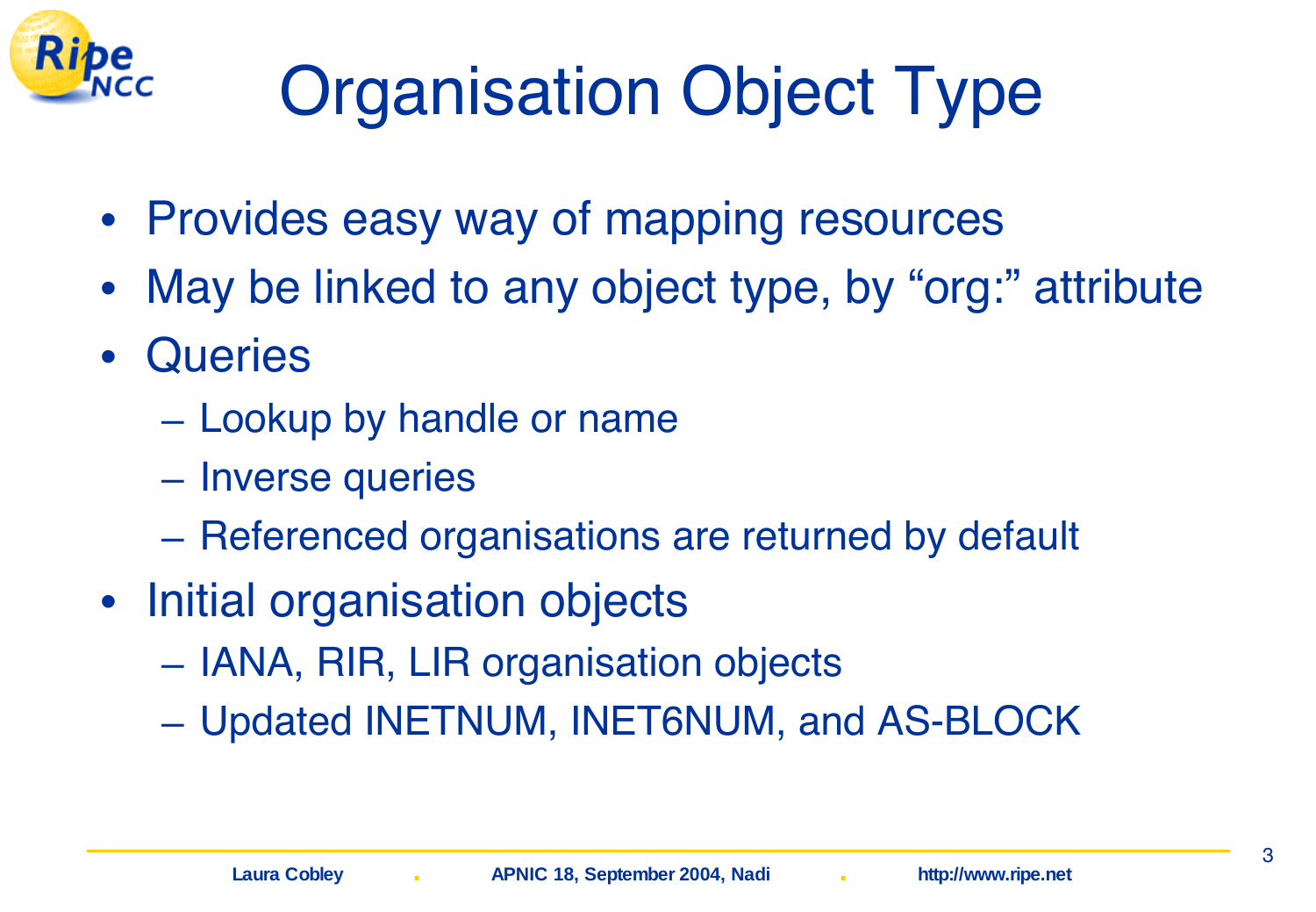

## Organisation Object Type

- Provides easy way of mapping resources
- May be linked to any object type, by "org:" attribute
- Queries
	- Lookup by handle or name
	- Inverse queries
	- Referenced organisations are returned by default
- Initial organisation objects
	- IANA, RIR, LIR organisation objects
	- Updated INETNUM, INET6NUM, and AS-BLOCK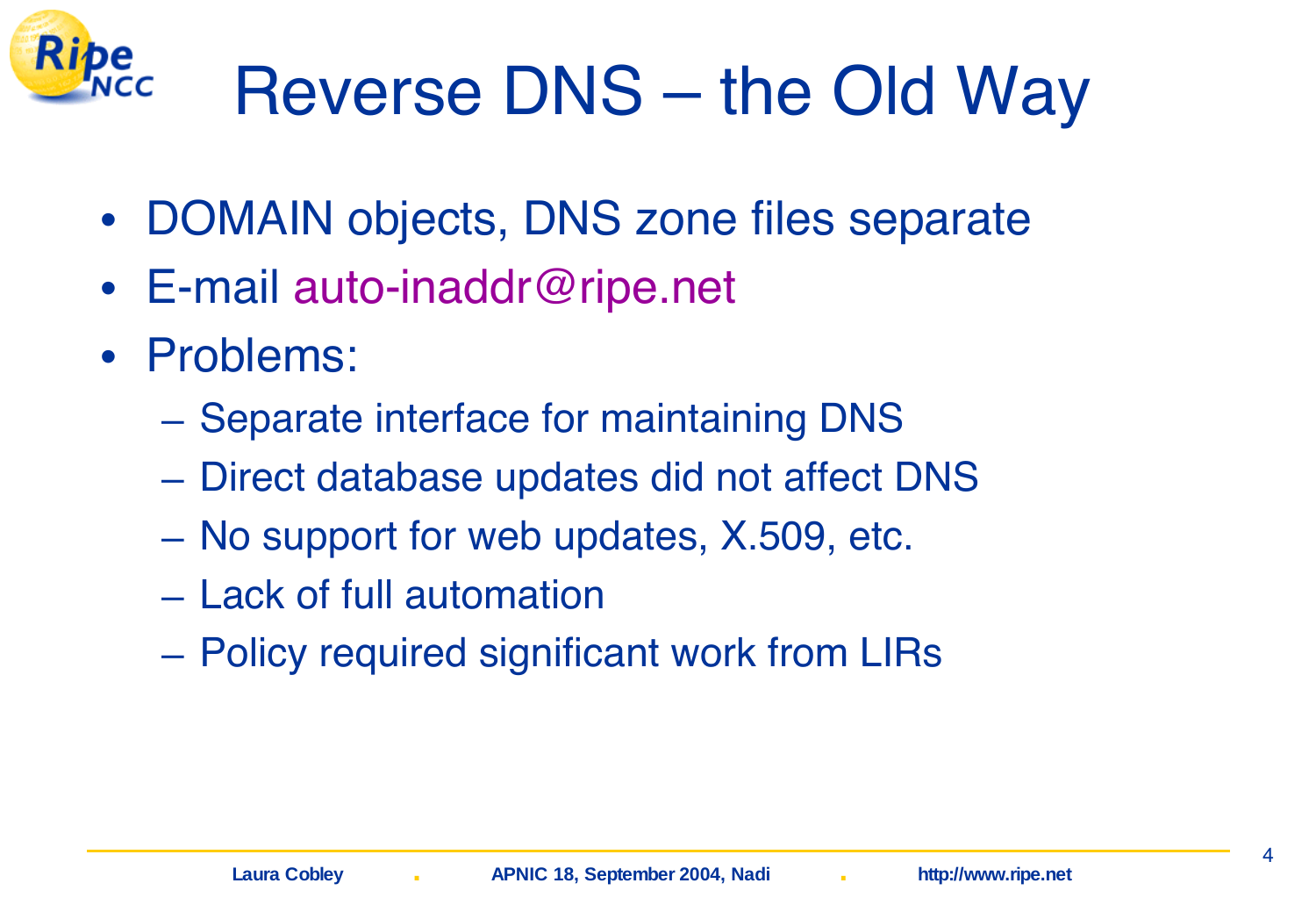

- DOMAIN objects, DNS zone files separate
- E-mail auto-inaddr@ripe.net
- Problems:
	- Separate interface for maintaining DNS
	- Direct database updates did not affect DNS
	- No support for web updates, X.509, etc.
	- Lack of full automation
	- Policy required significant work from LIRs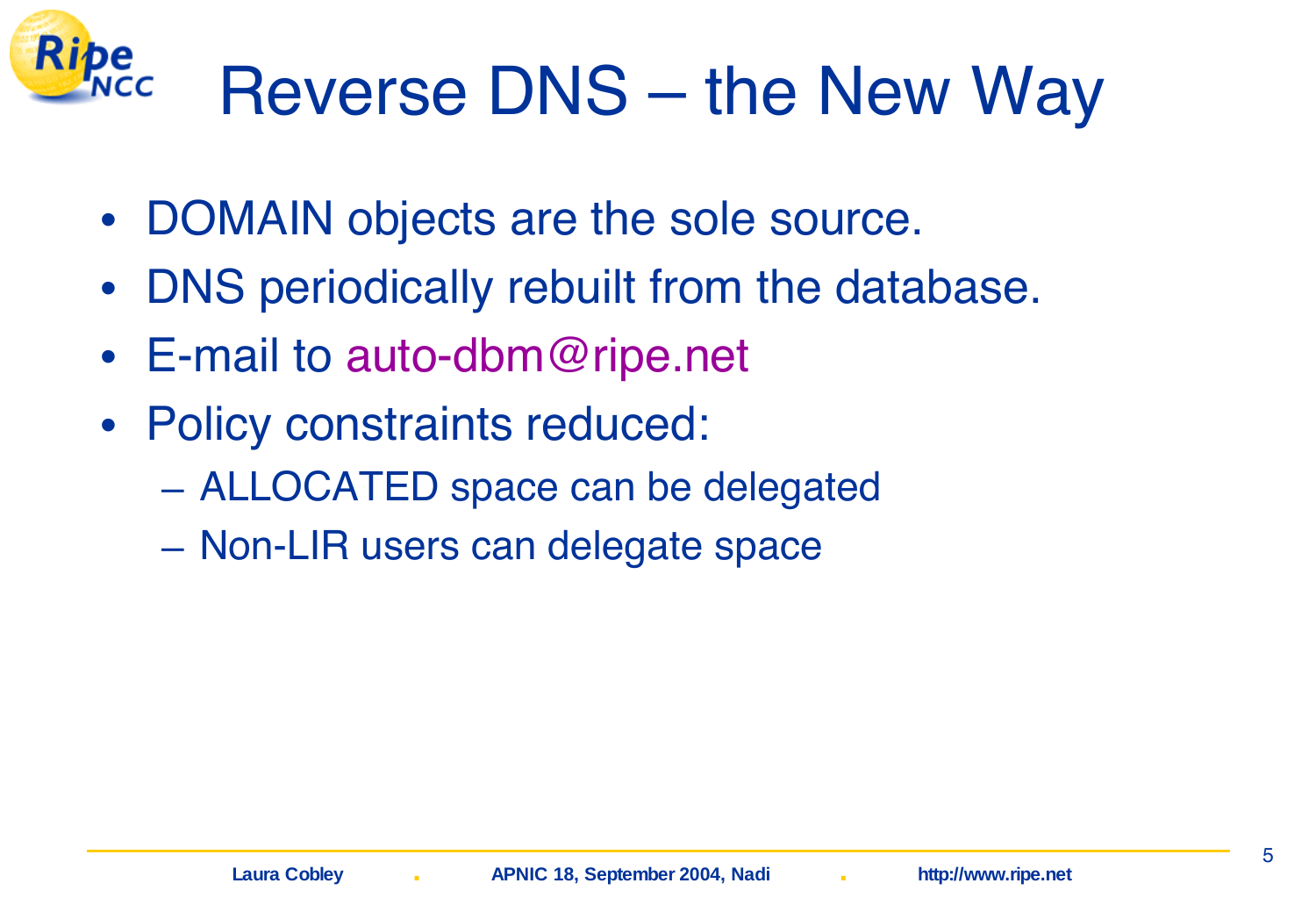#### Kibe Reverse DNS – the New Way

- DOMAIN objects are the sole source.
- DNS periodically rebuilt from the database.
- E-mail to auto-dbm@ripe.net
- Policy constraints reduced:
	- ALLOCATED space can be delegated
	- Non-LIR users can delegate space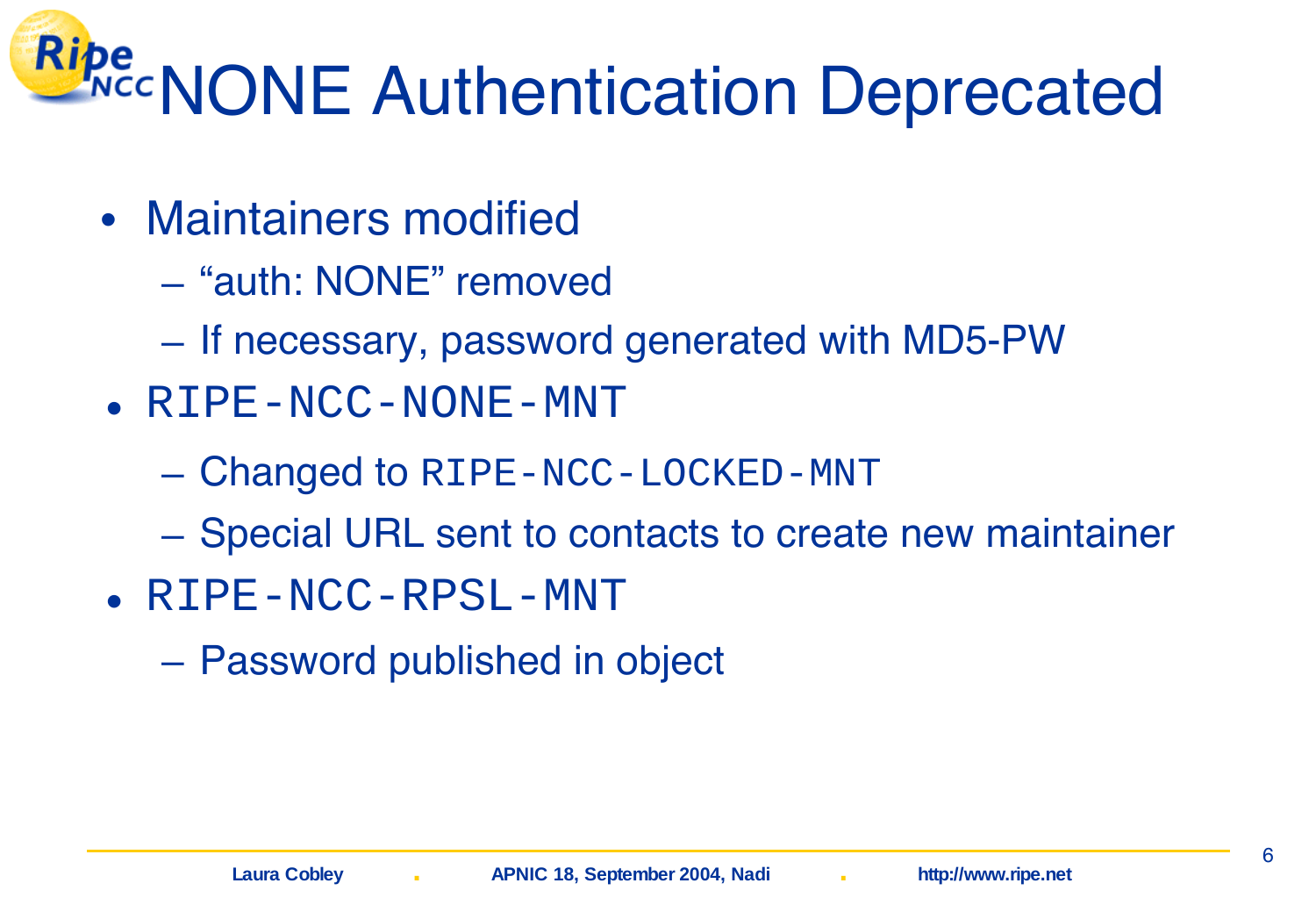# **Ripe**<br>None Authentication Deprecated

- Maintainers modified
	- "auth: NONE" removed
	- If necessary, password generated with MD5-PW
- RIPE-NCC-NONE-MNT
	- Changed to RIPE-NCC-LOCKED-MNT
	- Special URL sent to contacts to create new maintainer
- RIPE-NCC-RPSL-MNT
	- Password published in object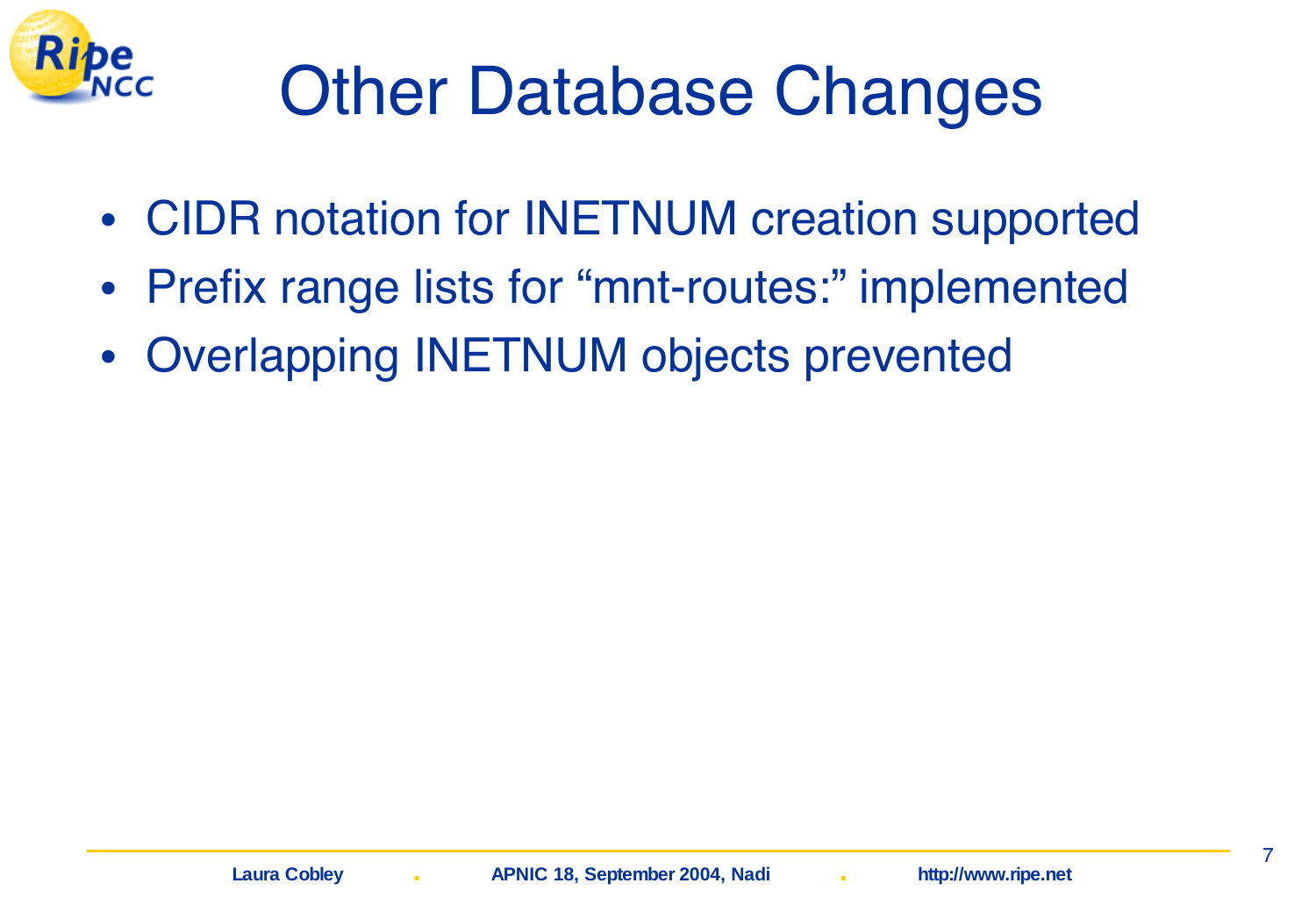

## Other Database Changes

- CIDR notation for INETNUM creation supported
- Prefix range lists for "mnt-routes:" implemented
- Overlapping INETNUM objects prevented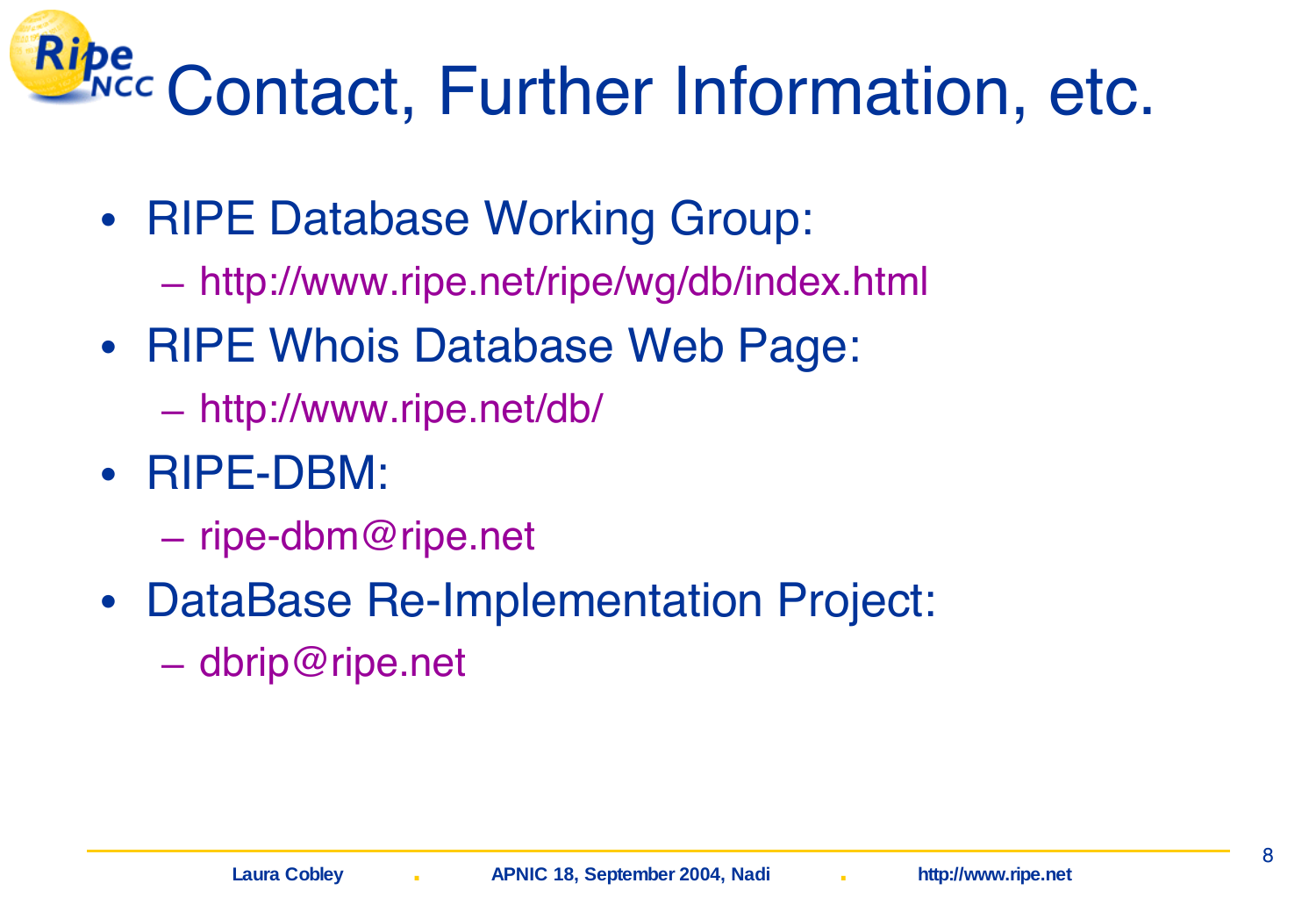## Ripe Contact, Further Information, etc.

- RIPE Database Working Group:
	- http://www.ripe.net/ripe/wg/db/index.html
- RIPE Whois Database Web Page:
	- http://www.ripe.net/db/
- RIPE-DBM:
	- ripe-dbm@ripe.net
- DataBase Re-Implementation Project:
	- dbrip@ripe.net